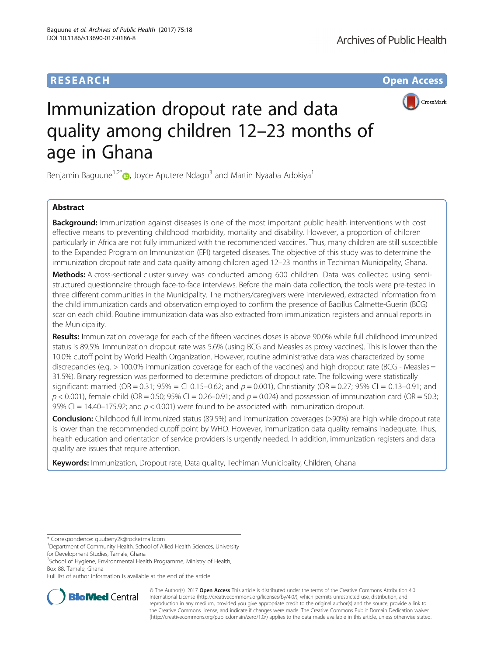# **RESEARCH CHE Open Access**



# Immunization dropout rate and data quality among children 12–23 months of age in Ghana

Benjamin Baguune<sup>1,2\*</sup> <sub>D</sub>, Joyce Aputere Ndago<sup>3</sup> and Martin Nyaaba Adokiya<sup>1</sup>

# Abstract

**Background:** Immunization against diseases is one of the most important public health interventions with cost effective means to preventing childhood morbidity, mortality and disability. However, a proportion of children particularly in Africa are not fully immunized with the recommended vaccines. Thus, many children are still susceptible to the Expanded Program on Immunization (EPI) targeted diseases. The objective of this study was to determine the immunization dropout rate and data quality among children aged 12–23 months in Techiman Municipality, Ghana.

Methods: A cross-sectional cluster survey was conducted among 600 children. Data was collected using semistructured questionnaire through face-to-face interviews. Before the main data collection, the tools were pre-tested in three different communities in the Municipality. The mothers/caregivers were interviewed, extracted information from the child immunization cards and observation employed to confirm the presence of Bacillus Calmette-Guerin (BCG) scar on each child. Routine immunization data was also extracted from immunization registers and annual reports in the Municipality.

Results: Immunization coverage for each of the fifteen vaccines doses is above 90.0% while full childhood immunized status is 89.5%. Immunization dropout rate was 5.6% (using BCG and Measles as proxy vaccines). This is lower than the 10.0% cutoff point by World Health Organization. However, routine administrative data was characterized by some discrepancies (e.g. > 100.0% immunization coverage for each of the vaccines) and high dropout rate (BCG - Measles = 31.5%). Binary regression was performed to determine predictors of dropout rate. The following were statistically significant: married (OR =  $0.31$ ;  $95\%$  = CI 0.15–0.62; and  $p = 0.001$ ), Christianity (OR = 0.27; 95% CI = 0.13–0.91; and  $p < 0.001$ ), female child (OR = 0.50; 95% CI = 0.26–0.91; and  $p = 0.024$ ) and possession of immunization card (OR = 50.3; 95% CI = 14.40–175.92; and  $p < 0.001$ ) were found to be associated with immunization dropout.

Conclusion: Childhood full immunized status (89.5%) and immunization coverages (>90%) are high while dropout rate is lower than the recommended cutoff point by WHO. However, immunization data quality remains inadequate. Thus, health education and orientation of service providers is urgently needed. In addition, immunization registers and data quality are issues that require attention.

Keywords: Immunization, Dropout rate, Data quality, Techiman Municipality, Children, Ghana

Full list of author information is available at the end of the article



© The Author(s). 2017 **Open Access** This article is distributed under the terms of the Creative Commons Attribution 4.0 International License [\(http://creativecommons.org/licenses/by/4.0/](http://creativecommons.org/licenses/by/4.0/)), which permits unrestricted use, distribution, and reproduction in any medium, provided you give appropriate credit to the original author(s) and the source, provide a link to the Creative Commons license, and indicate if changes were made. The Creative Commons Public Domain Dedication waiver [\(http://creativecommons.org/publicdomain/zero/1.0/](http://creativecommons.org/publicdomain/zero/1.0/)) applies to the data made available in this article, unless otherwise stated.

<sup>\*</sup> Correspondence: [guubeny2k@rocketmail.com](mailto:guubeny2k@rocketmail.com) <sup>1</sup>

<sup>&</sup>lt;sup>1</sup>Department of Community Health, School of Allied Health Sciences, University for Development Studies, Tamale, Ghana

<sup>&</sup>lt;sup>2</sup>School of Hygiene, Environmental Health Programme, Ministry of Health, Box 88, Tamale, Ghana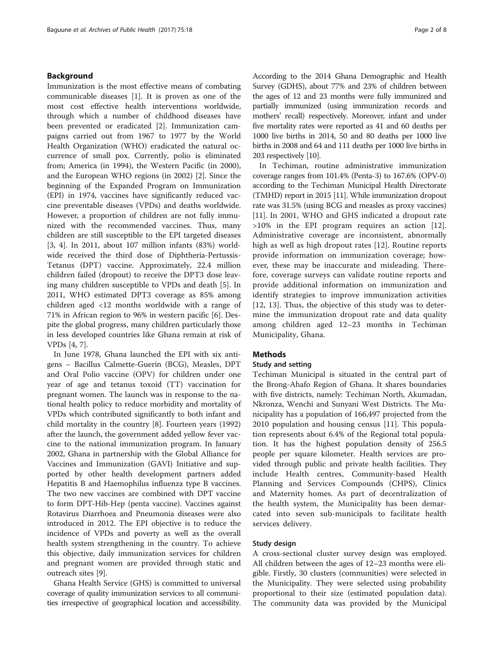# Background

Immunization is the most effective means of combating communicable diseases [[1\]](#page-7-0). It is proven as one of the most cost effective health interventions worldwide, through which a number of childhood diseases have been prevented or eradicated [\[2](#page-7-0)]. Immunization campaigns carried out from 1967 to 1977 by the World Health Organization (WHO) eradicated the natural occurrence of small pox. Currently, polio is eliminated from; America (in 1994), the Western Pacific (in 2000), and the European WHO regions (in 2002) [[2\]](#page-7-0). Since the beginning of the Expanded Program on Immunization (EPI) in 1974, vaccines have significantly reduced vaccine preventable diseases (VPDs) and deaths worldwide. However, a proportion of children are not fully immunized with the recommended vaccines. Thus, many children are still susceptible to the EPI targeted diseases [[3, 4](#page-7-0)]. In 2011, about 107 million infants (83%) worldwide received the third dose of Diphtheria-Pertussis-Tetanus (DPT) vaccine. Approximately, 22.4 million children failed (dropout) to receive the DPT3 dose leaving many children susceptible to VPDs and death [\[5](#page-7-0)]. In 2011, WHO estimated DPT3 coverage as 85% among children aged <12 months worldwide with a range of 71% in African region to 96% in western pacific [\[6](#page-7-0)]. Despite the global progress, many children particularly those in less developed countries like Ghana remain at risk of VPDs [[4, 7\]](#page-7-0).

In June 1978, Ghana launched the EPI with six antigens – Bacillus Calmette-Guerin (BCG), Measles, DPT and Oral Polio vaccine (OPV) for children under one year of age and tetanus toxoid (TT) vaccination for pregnant women. The launch was in response to the national health policy to reduce morbidity and mortality of VPDs which contributed significantly to both infant and child mortality in the country [[8\]](#page-7-0). Fourteen years (1992) after the launch, the government added yellow fever vaccine to the national immunization program. In January 2002, Ghana in partnership with the Global Alliance for Vaccines and Immunization (GAVI) Initiative and supported by other health development partners added Hepatitis B and Haemophilus influenza type B vaccines. The two new vaccines are combined with DPT vaccine to form DPT-Hib-Hep (penta vaccine). Vaccines against Rotavirus Diarrhoea and Pneumonia diseases were also introduced in 2012. The EPI objective is to reduce the incidence of VPDs and poverty as well as the overall health system strengthening in the country. To achieve this objective, daily immunization services for children and pregnant women are provided through static and outreach sites [\[9](#page-7-0)].

Ghana Health Service (GHS) is committed to universal coverage of quality immunization services to all communities irrespective of geographical location and accessibility. According to the 2014 Ghana Demographic and Health Survey (GDHS), about 77% and 23% of children between the ages of 12 and 23 months were fully immunized and partially immunized (using immunization records and mothers' recall) respectively. Moreover, infant and under five mortality rates were reported as 41 and 60 deaths per 1000 live births in 2014, 50 and 80 deaths per 1000 live births in 2008 and 64 and 111 deaths per 1000 live births in 203 respectively [\[10\]](#page-7-0).

In Techiman, routine administrative immunization coverage ranges from 101.4% (Penta-3) to 167.6% (OPV-0) according to the Techiman Municipal Health Directorate (TMHD) report in 2015 [\[11](#page-7-0)]. While immunization dropout rate was 31.5% (using BCG and measles as proxy vaccines) [[11](#page-7-0)]. In 2001, WHO and GHS indicated a dropout rate >10% in the EPI program requires an action [\[12](#page-7-0)]. Administrative coverage are inconsistent, abnormally high as well as high dropout rates [\[12](#page-7-0)]. Routine reports provide information on immunization coverage; however, these may be inaccurate and misleading. Therefore, coverage surveys can validate routine reports and provide additional information on immunization and identify strategies to improve immunization activities [[12](#page-7-0), [13\]](#page-7-0). Thus, the objective of this study was to determine the immunization dropout rate and data quality among children aged 12–23 months in Techiman Municipality, Ghana.

# **Methods**

# Study and setting

Techiman Municipal is situated in the central part of the Brong-Ahafo Region of Ghana. It shares boundaries with five districts, namely: Techiman North, Akumadan, Nkronza, Wenchi and Sunyani West Districts. The Municipality has a population of 166,497 projected from the 2010 population and housing census [[11\]](#page-7-0). This population represents about 6.4% of the Regional total population. It has the highest population density of 256.5 people per square kilometer. Health services are provided through public and private health facilities. They include Health centres, Community-based Health Planning and Services Compounds (CHPS), Clinics and Maternity homes. As part of decentralization of the health system, the Municipality has been demarcated into seven sub-municipals to facilitate health services delivery.

# Study design

A cross-sectional cluster survey design was employed. All children between the ages of 12–23 months were eligible. Firstly, 30 clusters (communities) were selected in the Municipality. They were selected using probability proportional to their size (estimated population data). The community data was provided by the Municipal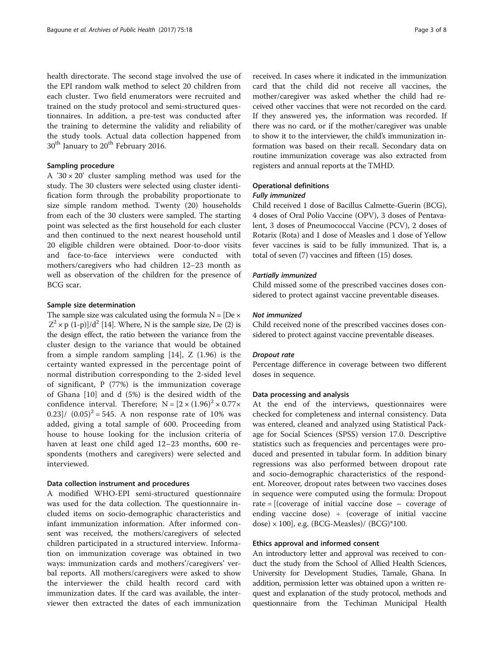health directorate. The second stage involved the use of the EPI random walk method to select 20 children from each cluster. Two field enumerators were recruited and trained on the study protocol and semi-structured questionnaires. In addition, a pre-test was conducted after the training to determine the validity and reliability of the study tools. Actual data collection happened from 30<sup>th</sup> January to 20<sup>th</sup> February 2016.

# Sampling procedure

A '30  $\times$  20' cluster sampling method was used for the study. The 30 clusters were selected using cluster identification form through the probability proportionate to size simple random method. Twenty (20) households from each of the 30 clusters were sampled. The starting point was selected as the first household for each cluster and then continued to the next nearest household until 20 eligible children were obtained. Door-to-door visits and face-to-face interviews were conducted with mothers/caregivers who had children 12–23 month as well as observation of the children for the presence of BCG scar.

# Sample size determination

The sample size was calculated using the formula  $N = [De \times$  $Z^2 \times p$  (1-p)]/d<sup>2</sup> [\[14\]](#page-7-0). Where, N is the sample size, De (2) is the design effect, the ratio between the variance from the cluster design to the variance that would be obtained from a simple random sampling [\[14](#page-7-0)], Z (1.96) is the certainty wanted expressed in the percentage point of normal distribution corresponding to the 2-sided level of significant, P (77%) is the immunization coverage of Ghana [\[10](#page-7-0)] and d (5%) is the desired width of the confidence interval. Therefore;  $N = [2 \times (1.96)^2 \times 0.77 \times$ 0.23]/  $(0.05)^2 = 545$ . A non response rate of 10% was added, giving a total sample of 600. Proceeding from house to house looking for the inclusion criteria of haven at least one child aged 12–23 months, 600 respondents (mothers and caregivers) were selected and interviewed.

#### Data collection instrument and procedures

A modified WHO-EPI semi-structured questionnaire was used for the data collection. The questionnaire included items on socio-demographic characteristics and infant immunization information. After informed consent was received, the mothers/caregivers of selected children participated in a structured interview. Information on immunization coverage was obtained in two ways: immunization cards and mothers'/caregivers' verbal reports. All mothers/caregivers were asked to show the interviewer the child health record card with immunization dates. If the card was available, the interviewer then extracted the dates of each immunization

received. In cases where it indicated in the immunization card that the child did not receive all vaccines, the mother/caregiver was asked whether the child had received other vaccines that were not recorded on the card. If they answered yes, the information was recorded. If there was no card, or if the mother/caregiver was unable to show it to the interviewer, the child's immunization information was based on their recall. Secondary data on routine immunization coverage was also extracted from registers and annual reports at the TMHD.

# Operational definitions Fully immunized

Child received 1 dose of Bacillus Calmette-Guerin (BCG), 4 doses of Oral Polio Vaccine (OPV), 3 doses of Pentavalent, 3 doses of Pneumococcal Vaccine (PCV), 2 doses of Rotarix (Rota) and 1 dose of Measles and 1 dose of Yellow fever vaccines is said to be fully immunized. That is, a total of seven (7) vaccines and fifteen (15) doses.

# Partially immunized

Child missed some of the prescribed vaccines doses considered to protect against vaccine preventable diseases.

# Not immunized

Child received none of the prescribed vaccines doses considered to protect against vaccine preventable diseases.

# Dropout rate

Percentage difference in coverage between two different doses in sequence.

# Data processing and analysis

At the end of the interviews, questionnaires were checked for completeness and internal consistency. Data was entered, cleaned and analyzed using Statistical Package for Social Sciences (SPSS) version 17.0. Descriptive statistics such as frequencies and percentages were produced and presented in tabular form. In addition binary regressions was also performed between dropout rate and socio-demographic characteristics of the respondent. Moreover, dropout rates between two vaccines doses in sequence were computed using the formula: Dropout rate = [(coverage of initial vaccine dose – coverage of ending vaccine dose)  $\div$  (coverage of initial vaccine dose)  $\times$  100], e.g. (BCG-Measles)/ (BCG)\*100.

# Ethics approval and informed consent

An introductory letter and approval was received to conduct the study from the School of Allied Health Sciences, University for Development Studies, Tamale, Ghana. In addition, permission letter was obtained upon a written request and explanation of the study protocol, methods and questionnaire from the Techiman Municipal Health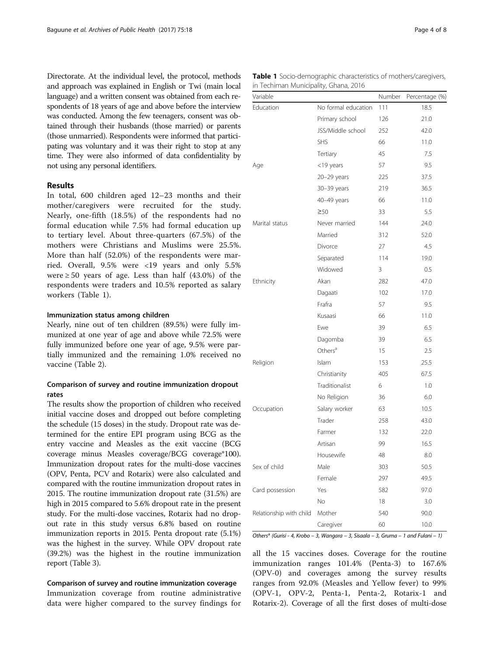Directorate. At the individual level, the protocol, methods and approach was explained in English or Twi (main local language) and a written consent was obtained from each respondents of 18 years of age and above before the interview was conducted. Among the few teenagers, consent was obtained through their husbands (those married) or parents (those unmarried). Respondents were informed that participating was voluntary and it was their right to stop at any time. They were also informed of data confidentiality by not using any personal identifiers.

# Results

In total, 600 children aged 12–23 months and their mother/caregivers were recruited for the study. Nearly, one-fifth (18.5%) of the respondents had no formal education while 7.5% had formal education up to tertiary level. About three-quarters (67.5%) of the mothers were Christians and Muslims were 25.5%. More than half (52.0%) of the respondents were married. Overall, 9.5% were <19 years and only 5.5% were  $\geq 50$  years of age. Less than half (43.0%) of the respondents were traders and 10.5% reported as salary workers (Table 1).

# Immunization status among children

Nearly, nine out of ten children (89.5%) were fully immunized at one year of age and above while 72.5% were fully immunized before one year of age, 9.5% were partially immunized and the remaining 1.0% received no vaccine (Table [2\)](#page-4-0).

# Comparison of survey and routine immunization dropout rates

The results show the proportion of children who received initial vaccine doses and dropped out before completing the schedule (15 doses) in the study. Dropout rate was determined for the entire EPI program using BCG as the entry vaccine and Measles as the exit vaccine (BCG coverage minus Measles coverage/BCG coverage\*100). Immunization dropout rates for the multi-dose vaccines (OPV, Penta, PCV and Rotarix) were also calculated and compared with the routine immunization dropout rates in 2015. The routine immunization dropout rate (31.5%) are high in 2015 compared to 5.6% dropout rate in the present study. For the multi-dose vaccines, Rotarix had no dropout rate in this study versus 6.8% based on routine immunization reports in 2015. Penta dropout rate (5.1%) was the highest in the survey. While OPV dropout rate (39.2%) was the highest in the routine immunization report (Table [3](#page-4-0)).

# Comparison of survey and routine immunization coverage Immunization coverage from routine administrative data were higher compared to the survey findings for

Table 1 Socio-demographic characteristics of mothers/caregivers, in Techiman Municipality, Ghana, 2016

| Variable                |                     | Number | Percentage (%) |
|-------------------------|---------------------|--------|----------------|
| Education               | No formal education | 111    | 18.5           |
|                         | Primary school      | 126    | 21.0           |
|                         | JSS/Middle school   | 252    | 42.0           |
|                         | SHS                 | 66     | 11.0           |
|                         | Tertiary            | 45     | 7.5            |
| Age                     | <19 years           | 57     | 9.5            |
|                         | $20 - 29$ years     | 225    | 37.5           |
|                         | 30-39 years         | 219    | 36.5           |
|                         | 40-49 years         | 66     | 11.0           |
|                         | $\geq 50$           | 33     | 5.5            |
| Marital status          | Never married       | 144    | 24.0           |
|                         | Married             | 312    | 52.0           |
|                         | Divorce             | 27     | 4.5            |
|                         | Separated           | 114    | 19.0           |
|                         | Widowed             | 3      | 0.5            |
| Ethnicity               | Akan                | 282    | 47.0           |
|                         | Dagaati             | 102    | 17.0           |
|                         | Frafra              | 57     | 9.5            |
|                         | Kusaasi             | 66     | 11.0           |
|                         | Ewe                 | 39     | 6.5            |
|                         | Dagomba             | 39     | 6.5            |
|                         | Others <sup>a</sup> | 15     | 2.5            |
| Religion                | Islam               | 153    | 25.5           |
|                         | Christianity        | 405    | 67.5           |
|                         | Traditionalist      | 6      | 1.0            |
|                         | No Religion         | 36     | 6.0            |
| Occupation              | Salary worker       | 63     | 10.5           |
|                         | Trader              | 258    | 43.0           |
|                         | Farmer              | 132    | 22.0           |
|                         | Artisan             | 99     | 16.5           |
|                         | Housewife           | 48     | 8.0            |
| Sex of child            | Male                | 303    | 50.5           |
|                         | Female              | 297    | 49.5           |
| Card possession         | Yes                 | 582    | 97.0           |
|                         | No                  | 18     | 3.0            |
| Relationship with child | Mother              | 540    | 90.0           |
|                         | Caregiver           | 60     | 10.0           |

Others<sup>a</sup> (Gurisi - 4, Krobo – 3, Wangara – 3, Sisaala – 3, Gruma – 1 and Fulani – 1)

all the 15 vaccines doses. Coverage for the routine immunization ranges 101.4% (Penta-3) to 167.6% (OPV-0) and coverages among the survey results ranges from 92.0% (Measles and Yellow fever) to 99% (OPV-1, OPV-2, Penta-1, Penta-2, Rotarix-1 and Rotarix-2). Coverage of all the first doses of multi-dose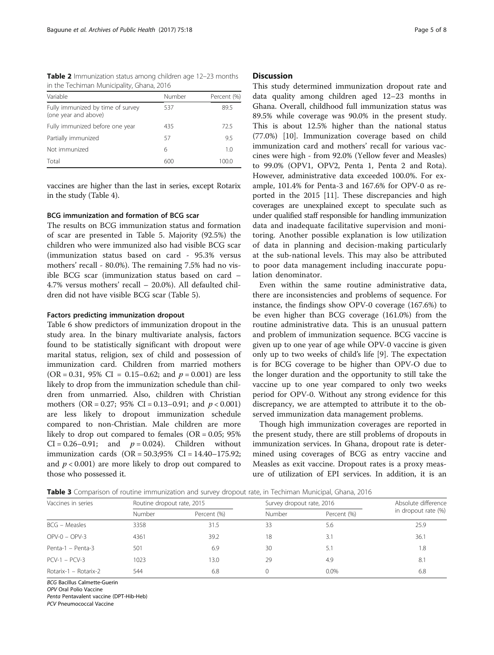<span id="page-4-0"></span>Table 2 Immunization status among children age 12-23 months in the Techiman Municipality, Ghana, 2016

| Variable                                                  | Number | Percent (%) |
|-----------------------------------------------------------|--------|-------------|
| Fully immunized by time of survey<br>(one year and above) | 537    | 89.5        |
| Fully immunized before one year                           | 435    | 72.5        |
| Partially immunized                                       | 57     | 9.5         |
| Not immunized                                             | 6      | 1.0         |
| Total                                                     | 600    | 100.0       |

vaccines are higher than the last in series, except Rotarix in the study (Table [4\)](#page-5-0).

# BCG immunization and formation of BCG scar

The results on BCG immunization status and formation of scar are presented in Table [5](#page-5-0). Majority (92.5%) the children who were immunized also had visible BCG scar (immunization status based on card - 95.3% versus mothers' recall - 80.0%). The remaining 7.5% had no visible BCG scar (immunization status based on card – 4.7% versus mothers' recall – 20.0%). All defaulted children did not have visible BCG scar (Table [5](#page-5-0)).

# Factors predicting immunization dropout

Table [6](#page-6-0) show predictors of immunization dropout in the study area. In the binary multivariate analysis, factors found to be statistically significant with dropout were marital status, religion, sex of child and possession of immunization card. Children from married mothers (OR = 0.31, 95% CI = 0.15–0.62; and  $p = 0.001$ ) are less likely to drop from the immunization schedule than children from unmarried. Also, children with Christian mothers (OR = 0.27; 95% CI = 0.13–0.91; and  $p < 0.001$ ) are less likely to dropout immunization schedule compared to non-Christian. Male children are more likely to drop out compared to females  $(OR = 0.05; 95\%)$  $CI = 0.26 - 0.91$ ; and  $p = 0.024$ ). Children without immunization cards (OR = 50.3;95% CI = 14.40–175.92; and  $p < 0.001$ ) are more likely to drop out compared to those who possessed it.

# **Discussion**

This study determined immunization dropout rate and data quality among children aged 12–23 months in Ghana. Overall, childhood full immunization status was 89.5% while coverage was 90.0% in the present study. This is about 12.5% higher than the national status (77.0%) [\[10](#page-7-0)]. Immunization coverage based on child immunization card and mothers' recall for various vaccines were high - from 92.0% (Yellow fever and Measles) to 99.0% (OPV1, OPV2, Penta 1, Penta 2 and Rota). However, administrative data exceeded 100.0%. For example, 101.4% for Penta-3 and 167.6% for OPV-0 as reported in the 2015 [[11](#page-7-0)]. These discrepancies and high coverages are unexplained except to speculate such as under qualified staff responsible for handling immunization data and inadequate facilitative supervision and monitoring. Another possible explanation is low utilization of data in planning and decision-making particularly at the sub-national levels. This may also be attributed to poor data management including inaccurate population denominator.

Even within the same routine administrative data, there are inconsistencies and problems of sequence. For instance, the findings show OPV-0 coverage (167.6%) to be even higher than BCG coverage (161.0%) from the routine administrative data. This is an unusual pattern and problem of immunization sequence. BCG vaccine is given up to one year of age while OPV-0 vaccine is given only up to two weeks of child's life [[9\]](#page-7-0). The expectation is for BCG coverage to be higher than OPV-O due to the longer duration and the opportunity to still take the vaccine up to one year compared to only two weeks period for OPV-0. Without any strong evidence for this discrepancy, we are attempted to attribute it to the observed immunization data management problems.

Though high immunization coverages are reported in the present study, there are still problems of dropouts in immunization services. In Ghana, dropout rate is determined using coverages of BCG as entry vaccine and Measles as exit vaccine. Dropout rates is a proxy measure of utilization of EPI services. In addition, it is an

Table 3 Comparison of routine immunization and survey dropout rate, in Techiman Municipal, Ghana, 2016

| Vaccines in series    | Routine dropout rate, 2015 |             | Survey dropout rate, 2016 |             | Absolute difference |
|-----------------------|----------------------------|-------------|---------------------------|-------------|---------------------|
|                       | Number                     | Percent (%) | Number                    | Percent (%) | in dropout rate (%) |
| BCG - Measles         | 3358                       | 31.5        | 33                        | 5.6         | 25.9                |
| $OPV-0 - OPV-3$       | 4361                       | 39.2        | 18                        | 3.1         | 36.1                |
| Penta-1 - Penta-3     | 501                        | 6.9         | 30                        |             | 1.8                 |
| $PCV-1 - PCV-3$       | 1023                       | 13.0        | 29                        | 4.9         | 8.1                 |
| Rotarix-1 - Rotarix-2 | 544                        | 6.8         |                           | $0.0\%$     | 6.8                 |
|                       |                            |             |                           |             |                     |

BCG Bacillus Calmette-Guerin OPV Oral Polio Vaccine

Penta Pentavalent vaccine (DPT-Hib-Heb)

PCV Pneumococcal Vaccine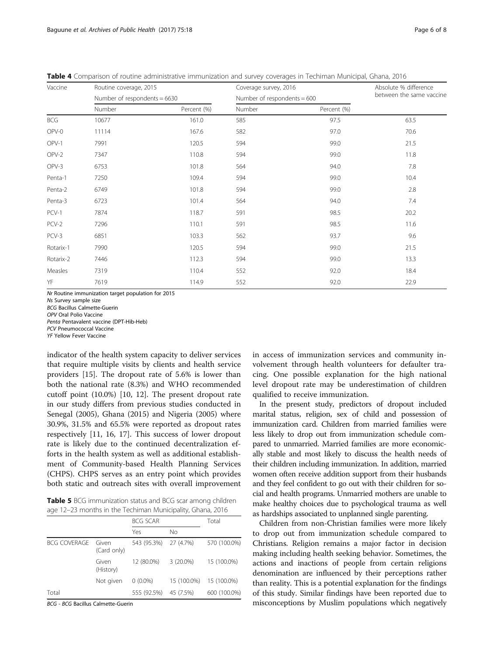| Vaccine<br>Routine coverage, 2015<br>Number of respondents = $6630$<br>Number |       |                               | Coverage survey, 2016 |                          | Absolute % difference |
|-------------------------------------------------------------------------------|-------|-------------------------------|-----------------------|--------------------------|-----------------------|
|                                                                               |       | Number of respondents $= 600$ |                       | between the same vaccine |                       |
|                                                                               |       | Percent (%)                   | Number                | Percent (%)              |                       |
| <b>BCG</b>                                                                    | 10677 | 161.0                         | 585                   | 97.5                     | 63.5                  |
| OPV-0                                                                         | 11114 | 167.6                         | 582                   | 97.0                     | 70.6                  |
| OPV-1                                                                         | 7991  | 120.5                         | 594                   | 99.0                     | 21.5                  |
| OPV-2                                                                         | 7347  | 110.8                         | 594                   | 99.0                     | 11.8                  |
| OPV-3                                                                         | 6753  | 101.8                         | 564                   | 94.0                     | 7.8                   |
| Penta-1                                                                       | 7250  | 109.4                         | 594                   | 99.0                     | 10.4                  |
| Penta-2                                                                       | 6749  | 101.8                         | 594                   | 99.0                     | 2.8                   |
| Penta-3                                                                       | 6723  | 101.4                         | 564                   | 94.0                     | 7.4                   |
| PCV-1                                                                         | 7874  | 118.7                         | 591                   | 98.5                     | 20.2                  |
| PCV-2                                                                         | 7296  | 110.1                         | 591                   | 98.5                     | 11.6                  |
| PCV-3                                                                         | 6851  | 103.3                         | 562                   | 93.7                     | 9.6                   |
| Rotarix-1                                                                     | 7990  | 120.5                         | 594                   | 99.0                     | 21.5                  |
| Rotarix-2                                                                     | 7446  | 112.3                         | 594                   | 99.0                     | 13.3                  |
| Measles                                                                       | 7319  | 110.4                         | 552                   | 92.0                     | 18.4                  |
| YF                                                                            | 7619  | 114.9                         | 552                   | 92.0                     | 22.9                  |

<span id="page-5-0"></span>Table 4 Comparison of routine administrative immunization and survey coverages in Techiman Municipal, Ghana, 2016

Nr Routine immunization target population for 2015

Ns Survey sample size

BCG Bacillus Calmette-Guerin

OPV Oral Polio Vaccine Penta Pentavalent vaccine (DPT-Hib-Heb)

PCV Pneumococcal Vaccine

YF Yellow Fever Vaccine

indicator of the health system capacity to deliver services that require multiple visits by clients and health service providers [\[15](#page-7-0)]. The dropout rate of 5.6% is lower than both the national rate (8.3%) and WHO recommended cutoff point (10.0%) [[10, 12\]](#page-7-0). The present dropout rate in our study differs from previous studies conducted in Senegal (2005), Ghana (2015) and Nigeria (2005) where 30.9%, 31.5% and 65.5% were reported as dropout rates respectively [[11](#page-7-0), [16](#page-7-0), [17](#page-7-0)]. This success of lower dropout rate is likely due to the continued decentralization efforts in the health system as well as additional establishment of Community-based Health Planning Services (CHPS). CHPS serves as an entry point which provides both static and outreach sites with overall improvement

Table 5 BCG immunization status and BCG scar among children age 12–23 months in the Techiman Municipality, Ghana, 2016

|                     |                      | <b>BCG SCAR</b> |             | Total        |  |
|---------------------|----------------------|-----------------|-------------|--------------|--|
|                     |                      | Yes             | No          |              |  |
| <b>BCG COVERAGE</b> | Given<br>(Card only) | 543 (95.3%)     | 27 (4.7%)   | 570 (100.0%) |  |
|                     | Given<br>(History)   | 12 (80.0%)      | $3(20.0\%)$ | 15 (100.0%)  |  |
|                     | Not given            | $0(0.0\%)$      | 15 (100.0%) | 15 (100.0%)  |  |
| Total               |                      | 555 (92.5%)     | 45 (7.5%)   | 600 (100.0%) |  |

BCG - BCG Bacillus Calmette-Guerin

in access of immunization services and community involvement through health volunteers for defaulter tracing. One possible explanation for the high national level dropout rate may be underestimation of children qualified to receive immunization.

In the present study, predictors of dropout included marital status, religion, sex of child and possession of immunization card. Children from married families were less likely to drop out from immunization schedule compared to unmarried. Married families are more economically stable and most likely to discuss the health needs of their children including immunization. In addition, married women often receive addition support from their husbands and they feel confident to go out with their children for social and health programs. Unmarried mothers are unable to make healthy choices due to psychological trauma as well as hardships associated to unplanned single parenting.

Children from non-Christian families were more likely to drop out from immunization schedule compared to Christians. Religion remains a major factor in decision making including health seeking behavior. Sometimes, the actions and inactions of people from certain religions denomination are influenced by their perceptions rather than reality. This is a potential explanation for the findings of this study. Similar findings have been reported due to misconceptions by Muslim populations which negatively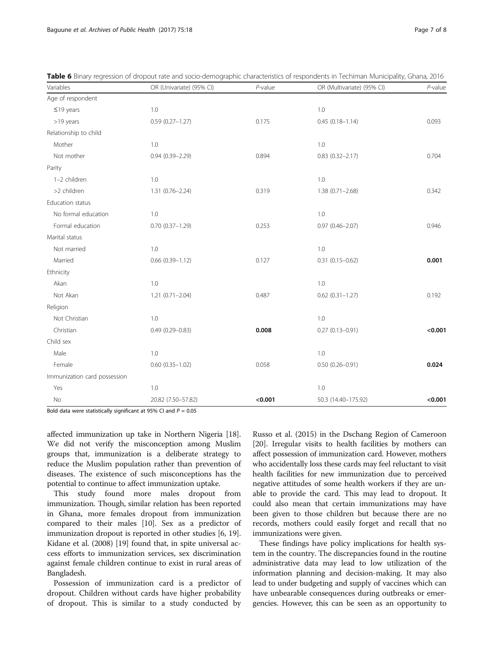| Variables                    | OR (Univariate) (95% CI) | $P$ -value | OR (Multivariate) (95% CI) | $P$ -value |
|------------------------------|--------------------------|------------|----------------------------|------------|
| Age of respondent            |                          |            |                            |            |
| $≤19$ years                  | 1.0                      |            | 1.0                        |            |
| >19 years                    | $0.59(0.27 - 1.27)$      | 0.175      | $0.45(0.18 - 1.14)$        | 0.093      |
| Relationship to child        |                          |            |                            |            |
| Mother                       | 1.0                      |            | 1.0                        |            |
| Not mother                   | $0.94(0.39 - 2.29)$      | 0.894      | $0.83(0.32 - 2.17)$        | 0.704      |
| Parity                       |                          |            |                            |            |
| 1-2 children                 | 1.0                      |            | 1.0                        |            |
| >2 children                  | 1.31 (0.76-2.24)         | 0.319      | $1.38(0.71 - 2.68)$        | 0.342      |
| Education status             |                          |            |                            |            |
| No formal education          | 1.0                      |            | 1.0                        |            |
| Formal education             | $0.70(0.37 - 1.29)$      | 0.253      | $0.97(0.46 - 2.07)$        | 0.946      |
| Marital status               |                          |            |                            |            |
| Not married                  | 1.0                      |            | 1.0                        |            |
| Married                      | $0.66$ $(0.39 - 1.12)$   | 0.127      | $0.31(0.15 - 0.62)$        | 0.001      |
| Ethnicity                    |                          |            |                            |            |
| Akan                         | 1.0                      |            | 1.0                        |            |
| Not Akan                     | $1.21(0.71 - 2.04)$      | 0.487      | $0.62$ $(0.31 - 1.27)$     | 0.192      |
| Religion                     |                          |            |                            |            |
| Not Christian                | 1.0                      |            | 1.0                        |            |
| Christian                    | $0.49(0.29 - 0.83)$      | 0.008      | $0.27(0.13 - 0.91)$        | < 0.001    |
| Child sex                    |                          |            |                            |            |
| Male                         | 1.0                      |            | 1.0                        |            |
| Female                       | $0.60(0.35 - 1.02)$      | 0.058      | $0.50(0.26 - 0.91)$        | 0.024      |
| Immunization card possession |                          |            |                            |            |
| Yes                          | 1.0                      |            | 1.0                        |            |
| No                           | 20.82 (7.50-57.82)       | < 0.001    | 50.3 (14.40-175.92)        | < 0.001    |

<span id="page-6-0"></span>Table 6 Binary regression of dropout rate and socio-demographic characteristics of respondents in Techiman Municipality, Ghana, 2016

Bold data were statistically significant at 95% CI and  $P = 0.05$ 

affected immunization up take in Northern Nigeria [[18](#page-7-0)]. We did not verify the misconception among Muslim groups that, immunization is a deliberate strategy to reduce the Muslim population rather than prevention of diseases. The existence of such misconceptions has the potential to continue to affect immunization uptake.

This study found more males dropout from immunization. Though, similar relation has been reported in Ghana, more females dropout from immunization compared to their males [\[10\]](#page-7-0). Sex as a predictor of immunization dropout is reported in other studies [[6, 19](#page-7-0)]. Kidane et al. (2008) [[19](#page-7-0)] found that, in spite universal access efforts to immunization services, sex discrimination against female children continue to exist in rural areas of Bangladesh.

Possession of immunization card is a predictor of dropout. Children without cards have higher probability of dropout. This is similar to a study conducted by

Russo et al. (2015) in the Dschang Region of Cameroon [[20\]](#page-7-0). Irregular visits to health facilities by mothers can affect possession of immunization card. However, mothers who accidentally loss these cards may feel reluctant to visit health facilities for new immunization due to perceived negative attitudes of some health workers if they are unable to provide the card. This may lead to dropout. It could also mean that certain immunizations may have been given to those children but because there are no records, mothers could easily forget and recall that no immunizations were given.

These findings have policy implications for health system in the country. The discrepancies found in the routine administrative data may lead to low utilization of the information planning and decision-making. It may also lead to under budgeting and supply of vaccines which can have unbearable consequences during outbreaks or emergencies. However, this can be seen as an opportunity to